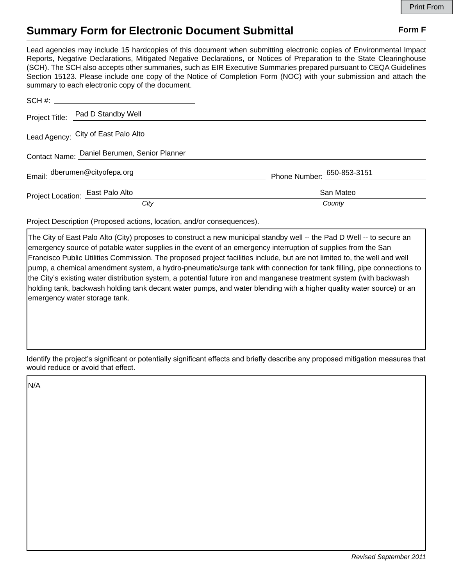## **Summary Form for Electronic Document Submittal Form F Form F**

Lead agencies may include 15 hardcopies of this document when submitting electronic copies of Environmental Impact Reports, Negative Declarations, Mitigated Negative Declarations, or Notices of Preparation to the State Clearinghouse (SCH). The SCH also accepts other summaries, such as EIR Executive Summaries prepared pursuant to CEQA Guidelines Section 15123. Please include one copy of the Notice of Completion Form (NOC) with your submission and attach the summary to each electronic copy of the document.

|                                  | Project Title: Pad D Standby Well            |                            |
|----------------------------------|----------------------------------------------|----------------------------|
|                                  | Lead Agency: City of East Palo Alto          |                            |
|                                  | Contact Name: Daniel Berumen, Senior Planner |                            |
| Email: dberumen@cityofepa.org    |                                              | Phone Number: 650-853-3151 |
| Project Location: East Palo Alto |                                              | San Mateo                  |
|                                  | City                                         | County                     |

Project Description (Proposed actions, location, and/or consequences).

The City of East Palo Alto (City) proposes to construct a new municipal standby well -- the Pad D Well -- to secure an emergency source of potable water supplies in the event of an emergency interruption of supplies from the San Francisco Public Utilities Commission. The proposed project facilities include, but are not limited to, the well and well pump, a chemical amendment system, a hydro-pneumatic/surge tank with connection for tank filling, pipe connections to the City's existing water distribution system, a potential future iron and manganese treatment system (with backwash holding tank, backwash holding tank decant water pumps, and water blending with a higher quality water source) or an emergency water storage tank.

Identify the project's significant or potentially significant effects and briefly describe any proposed mitigation measures that would reduce or avoid that effect.

N/A